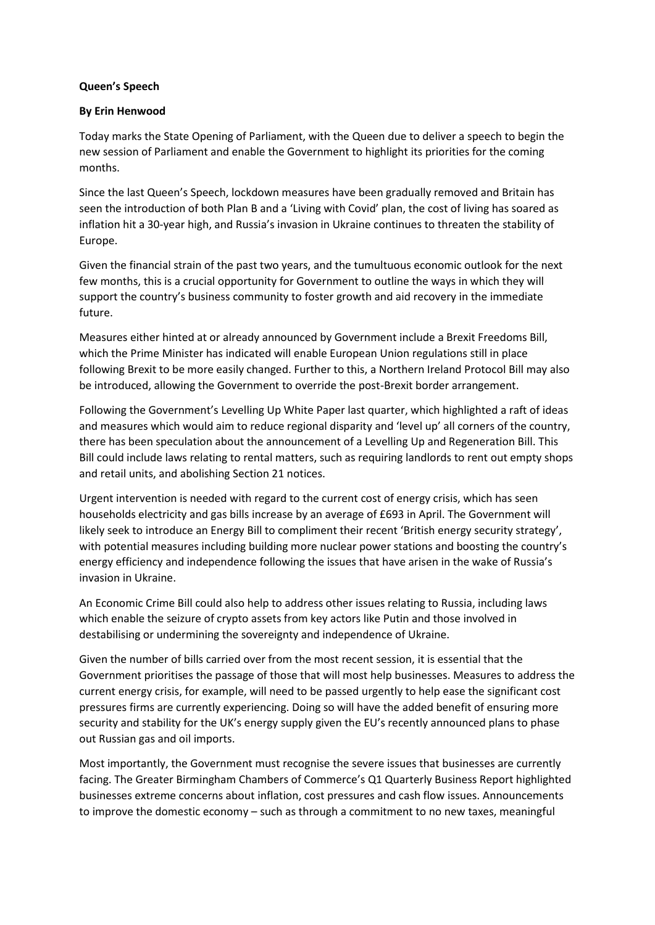## **Queen's Speech**

## **By Erin Henwood**

Today marks the State Opening of Parliament, with the Queen due to deliver a speech to begin the new session of Parliament and enable the Government to highlight its priorities for the coming months.

Since the last Queen's Speech, lockdown measures have been gradually removed and Britain has seen the introduction of both Plan B and a 'Living with Covid' plan, the cost of living has soared as inflation hit a 30-year high, and Russia's invasion in Ukraine continues to threaten the stability of Europe.

Given the financial strain of the past two years, and the tumultuous economic outlook for the next few months, this is a crucial opportunity for Government to outline the ways in which they will support the country's business community to foster growth and aid recovery in the immediate future.

Measures either hinted at or already announced by Government include a Brexit Freedoms Bill, which the Prime Minister has indicated will enable European Union regulations still in place following Brexit to be more easily changed. Further to this, a Northern Ireland Protocol Bill may also be introduced, allowing the Government to override the post-Brexit border arrangement.

Following the Government's Levelling Up White Paper last quarter, which highlighted a raft of ideas and measures which would aim to reduce regional disparity and 'level up' all corners of the country, there has been speculation about the announcement of a Levelling Up and Regeneration Bill. This Bill could include laws relating to rental matters, such as requiring landlords to rent out empty shops and retail units, and abolishing Section 21 notices.

Urgent intervention is needed with regard to the current cost of energy crisis, which has seen households electricity and gas bills increase by an average of £693 in April. The Government will likely seek to introduce an Energy Bill to compliment their recent 'British energy security strategy', with potential measures including building more nuclear power stations and boosting the country's energy efficiency and independence following the issues that have arisen in the wake of Russia's invasion in Ukraine.

An Economic Crime Bill could also help to address other issues relating to Russia, including laws which enable the seizure of crypto assets from key actors like Putin and those involved in destabilising or undermining the sovereignty and independence of Ukraine.

Given the number of bills carried over from the most recent session, it is essential that the Government prioritises the passage of those that will most help businesses. Measures to address the current energy crisis, for example, will need to be passed urgently to help ease the significant cost pressures firms are currently experiencing. Doing so will have the added benefit of ensuring more security and stability for the UK's energy supply given the EU's recently announced plans to phase out Russian gas and oil imports.

Most importantly, the Government must recognise the severe issues that businesses are currently facing. The Greater Birmingham Chambers of Commerce's Q1 Quarterly Business Report highlighted businesses extreme concerns about inflation, cost pressures and cash flow issues. Announcements to improve the domestic economy – such as through a commitment to no new taxes, meaningful